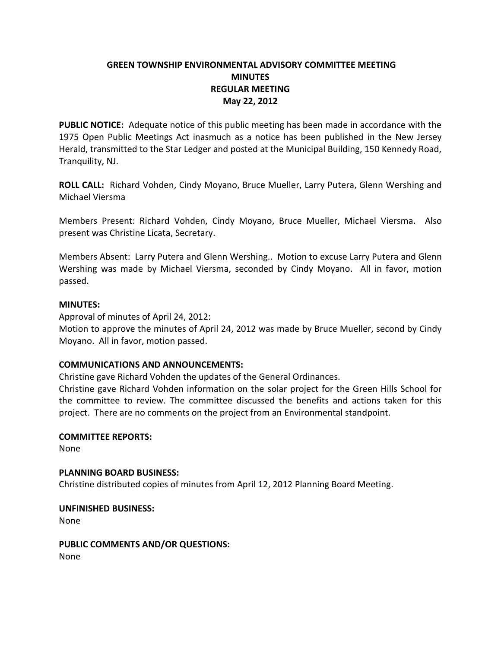# **GREEN TOWNSHIP ENVIRONMENTAL ADVISORY COMMITTEE MEETING MINUTES REGULAR MEETING May 22, 2012**

**PUBLIC NOTICE:** Adequate notice of this public meeting has been made in accordance with the 1975 Open Public Meetings Act inasmuch as a notice has been published in the New Jersey Herald, transmitted to the Star Ledger and posted at the Municipal Building, 150 Kennedy Road, Tranquility, NJ.

**ROLL CALL:** Richard Vohden, Cindy Moyano, Bruce Mueller, Larry Putera, Glenn Wershing and Michael Viersma

Members Present: Richard Vohden, Cindy Moyano, Bruce Mueller, Michael Viersma. Also present was Christine Licata, Secretary.

Members Absent: Larry Putera and Glenn Wershing.. Motion to excuse Larry Putera and Glenn Wershing was made by Michael Viersma, seconded by Cindy Moyano. All in favor, motion passed.

### **MINUTES:**

Approval of minutes of April 24, 2012:

Motion to approve the minutes of April 24, 2012 was made by Bruce Mueller, second by Cindy Moyano. All in favor, motion passed.

# **COMMUNICATIONS AND ANNOUNCEMENTS:**

Christine gave Richard Vohden the updates of the General Ordinances.

Christine gave Richard Vohden information on the solar project for the Green Hills School for the committee to review. The committee discussed the benefits and actions taken for this project. There are no comments on the project from an Environmental standpoint.

#### **COMMITTEE REPORTS:**

None

#### **PLANNING BOARD BUSINESS:**

Christine distributed copies of minutes from April 12, 2012 Planning Board Meeting.

# **UNFINISHED BUSINESS:**

None

# **PUBLIC COMMENTS AND/OR QUESTIONS:**

None